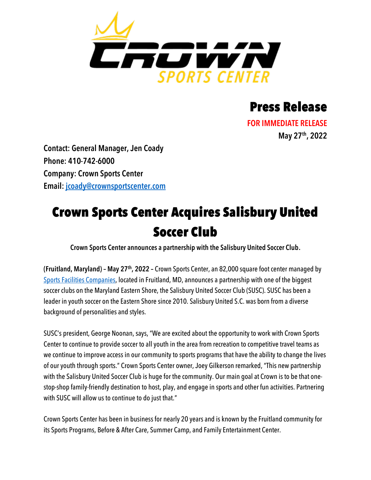

## Press Release

**FOR IMMEDIATE RELEASE May 27th, 2022**

**Contact: General Manager, Jen Coady Phone: 410-742-6000 Company: Crown Sports Center Email: [jcoady@crownsportscenter.com](mailto:jcoady@crownsportscenter.com)**

## Crown Sports Center Acquires Salisbury United Soccer Club

**Crown Sports Center announces a partnership with the Salisbury United Soccer Club.**

**(Fruitland, Maryland) – May 27th, 2022 –** Crown Sports Center, an 82,000 square foot center managed by [Sports Facilities Companies,](http://www.sportsfacilities.com/) located in Fruitland, MD, announces a partnership with one of the biggest soccer clubs on the Maryland Eastern Shore, the Salisbury United Soccer Club (SUSC). SUSC has been a leader in youth soccer on the Eastern Shore since 2010. Salisbury United S.C. was born from a diverse background of personalities and styles.

SUSC's president, George Noonan, says, "We are excited about the opportunity to work with Crown Sports Center to continue to provide soccer to all youth in the area from recreation to competitive travel teams as we continue to improve access in our community to sports programs that have the ability to change the lives of our youth through sports." Crown Sports Center owner, Joey Gilkerson remarked, "This new partnership with the Salisbury United Soccer Club is huge for the community. Our main goal at Crown is to be that onestop-shop family-friendly destination to host, play, and engage in sports and other fun activities. Partnering with SUSC will allow us to continue to do just that."

Crown Sports Center has been in business for nearly 20 years and is known by the Fruitland community for its Sports Programs, Before & After Care, Summer Camp, and Family Entertainment Center.